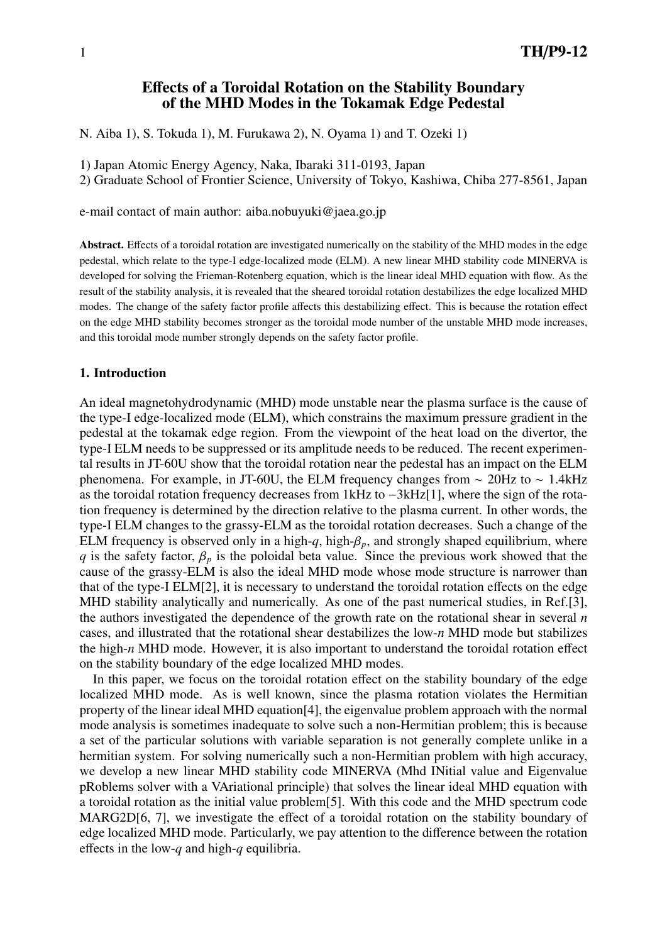# Effects of a Toroidal Rotation on the Stability Boundary of the MHD Modes in the Tokamak Edge Pedestal

N. Aiba 1), S. Tokuda 1), M. Furukawa 2), N. Oyama 1) and T. Ozeki 1)

1) Japan Atomic Energy Agency, Naka, Ibaraki 311-0193, Japan

2) Graduate School of Frontier Science, University of Tokyo, Kashiwa, Chiba 277-8561, Japan

e-mail contact of main author: aiba.nobuyuki@jaea.go.jp

Abstract. Effects of a toroidal rotation are investigated numerically on the stability of the MHD modes in the edge pedestal, which relate to the type-I edge-localized mode (ELM). A new linear MHD stability code MINERVA is developed for solving the Frieman-Rotenberg equation, which is the linear ideal MHD equation with flow. As the result of the stability analysis, it is revealed that the sheared toroidal rotation destabilizes the edge localized MHD modes. The change of the safety factor profile affects this destabilizing effect. This is because the rotation effect on the edge MHD stability becomes stronger as the toroidal mode number of the unstable MHD mode increases, and this toroidal mode number strongly depends on the safety factor profile.

### 1. Introduction

An ideal magnetohydrodynamic (MHD) mode unstable near the plasma surface is the cause of the type-I edge-localized mode (ELM), which constrains the maximum pressure gradient in the pedestal at the tokamak edge region. From the viewpoint of the heat load on the divertor, the type-I ELM needs to be suppressed or its amplitude needs to be reduced. The recent experimental results in JT-60U show that the toroidal rotation near the pedestal has an impact on the ELM phenomena. For example, in JT-60U, the ELM frequency changes from ∼ 20Hz to ∼ 1.4kHz as the toroidal rotation frequency decreases from 1kHz to −3kHz[1], where the sign of the rotation frequency is determined by the direction relative to the plasma current. In other words, the type-I ELM changes to the grassy-ELM as the toroidal rotation decreases. Such a change of the ELM frequency is observed only in a high- $q$ , high- $\beta_p$ , and strongly shaped equilibrium, where *q* is the safety factor,  $\beta_p$  is the poloidal beta value. Since the previous work showed that the cause of the grassy-ELM is also the ideal MHD mode whose mode structure is narrower than that of the type-I ELM[2], it is necessary to understand the toroidal rotation effects on the edge MHD stability analytically and numerically. As one of the past numerical studies, in Ref.[3], the authors investigated the dependence of the growth rate on the rotational shear in several *n* cases, and illustrated that the rotational shear destabilizes the low-*n* MHD mode but stabilizes the high-*n* MHD mode. However, it is also important to understand the toroidal rotation effect on the stability boundary of the edge localized MHD modes.

In this paper, we focus on the toroidal rotation effect on the stability boundary of the edge localized MHD mode. As is well known, since the plasma rotation violates the Hermitian property of the linear ideal MHD equation[4], the eigenvalue problem approach with the normal mode analysis is sometimes inadequate to solve such a non-Hermitian problem; this is because a set of the particular solutions with variable separation is not generally complete unlike in a hermitian system. For solving numerically such a non-Hermitian problem with high accuracy, we develop a new linear MHD stability code MINERVA (Mhd INitial value and Eigenvalue pRoblems solver with a VAriational principle) that solves the linear ideal MHD equation with a toroidal rotation as the initial value problem[5]. With this code and the MHD spectrum code MARG2D[6, 7], we investigate the effect of a toroidal rotation on the stability boundary of edge localized MHD mode. Particularly, we pay attention to the difference between the rotation effects in the low-*q* and high-*q* equilibria.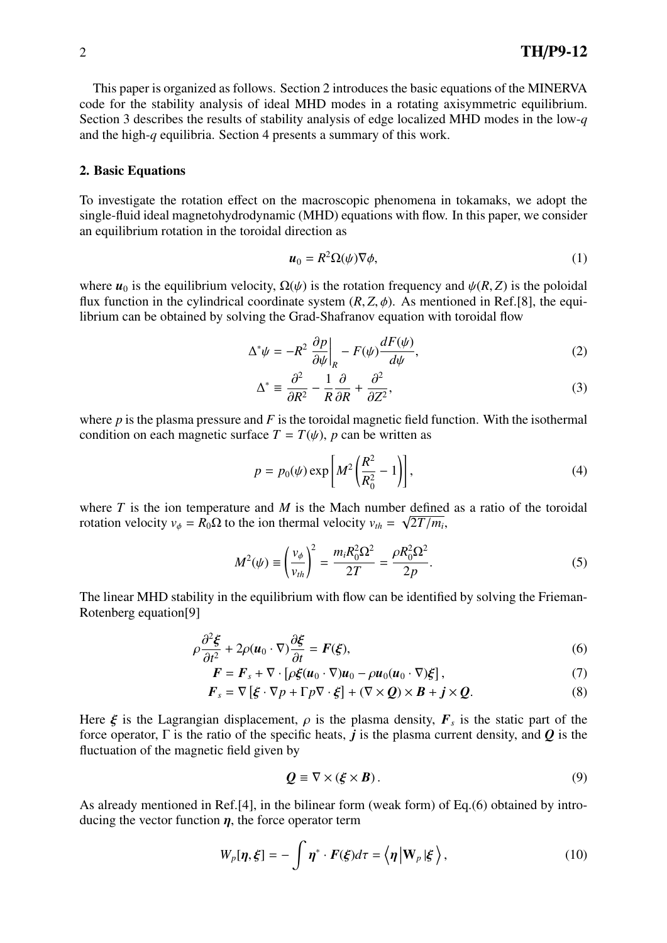This paper is organized as follows. Section 2 introduces the basic equations of the MINERVA code for the stability analysis of ideal MHD modes in a rotating axisymmetric equilibrium. Section 3 describes the results of stability analysis of edge localized MHD modes in the low-*q* and the high-*q* equilibria. Section 4 presents a summary of this work.

### 2. Basic Equations

To investigate the rotation effect on the macroscopic phenomena in tokamaks, we adopt the single-fluid ideal magnetohydrodynamic (MHD) equations with flow. In this paper, we consider an equilibrium rotation in the toroidal direction as

$$
\boldsymbol{u}_0 = R^2 \Omega(\psi) \nabla \phi,\tag{1}
$$

where  $u_0$  is the equilibrium velocity,  $\Omega(\psi)$  is the rotation frequency and  $\psi(R, Z)$  is the poloidal flux function in the cylindrical coordinate system  $(R, Z, \phi)$ . As mentioned in Ref.[8], the equilibrium can be obtained by solving the Grad-Shafranov equation with toroidal flow

$$
\Delta^* \psi = -R^2 \left. \frac{\partial p}{\partial \psi} \right|_R - F(\psi) \frac{dF(\psi)}{d\psi},\tag{2}
$$

$$
\Delta^* \equiv \frac{\partial^2}{\partial R^2} - \frac{1}{R} \frac{\partial}{\partial R} + \frac{\partial^2}{\partial Z^2},\tag{3}
$$

where  $p$  is the plasma pressure and  $F$  is the toroidal magnetic field function. With the isothermal condition on each magnetic surface  $T = T(\psi)$ , *p* can be written as

$$
p = p_0(\psi) \exp\left[M^2 \left(\frac{R^2}{R_0^2} - 1\right)\right],\tag{4}
$$

where *T* is the ion temperature and *M* is the Mach number defined as a ratio of the toroidal rotation velocity  $v_{\phi} = R_0 \Omega$  to the ion thermal velocity  $v_{th} = \sqrt{2T/m_i}$ ,

$$
M^{2}(\psi) \equiv \left(\frac{v_{\phi}}{v_{th}}\right)^{2} = \frac{m_{i}R_{0}^{2}\Omega^{2}}{2T} = \frac{\rho R_{0}^{2}\Omega^{2}}{2p}.
$$
 (5)

The linear MHD stability in the equilibrium with flow can be identified by solving the Frieman-Rotenberg equation[9]

$$
\rho \frac{\partial^2 \xi}{\partial t^2} + 2\rho (\boldsymbol{u}_0 \cdot \nabla) \frac{\partial \xi}{\partial t} = \boldsymbol{F}(\xi),\tag{6}
$$

$$
\boldsymbol{F} = \boldsymbol{F}_s + \nabla \cdot \left[ \rho \boldsymbol{\xi}(\boldsymbol{u}_0 \cdot \nabla) \boldsymbol{u}_0 - \rho \boldsymbol{u}_0(\boldsymbol{u}_0 \cdot \nabla) \boldsymbol{\xi} \right],\tag{7}
$$

$$
\boldsymbol{F}_s = \nabla \left[ \boldsymbol{\xi} \cdot \nabla p + \Gamma p \nabla \cdot \boldsymbol{\xi} \right] + (\nabla \times \boldsymbol{Q}) \times \boldsymbol{B} + \boldsymbol{j} \times \boldsymbol{Q}.
$$
 (8)

Here  $\xi$  is the Lagrangian displacement,  $\rho$  is the plasma density,  $F_s$  is the static part of the force operator, Γ is the ratio of the specific heats, *j* is the plasma current density, and *Q* is the fluctuation of the magnetic field given by

$$
Q \equiv \nabla \times (\xi \times B). \tag{9}
$$

As already mentioned in Ref.[4], in the bilinear form (weak form) of Eq.(6) obtained by introducing the vector function  $\eta$ , the force operator term

$$
W_p[\eta, \xi] = -\int \eta^* \cdot F(\xi) d\tau = \langle \eta | \mathbf{W}_p | \xi \rangle, \qquad (10)
$$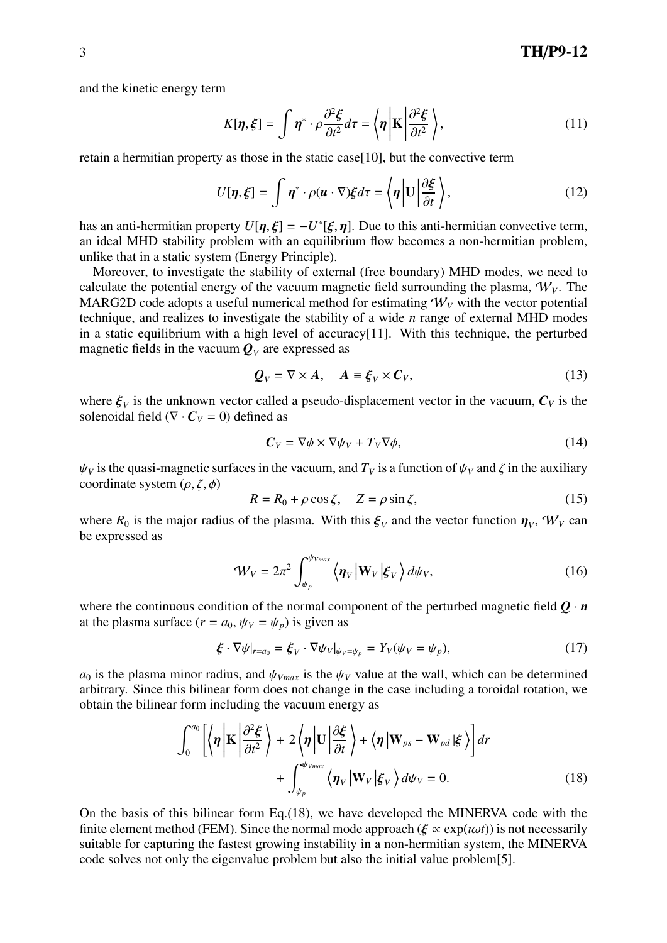and the kinetic energy term

$$
K[\eta, \xi] = \int \eta^* \cdot \rho \frac{\partial^2 \xi}{\partial t^2} d\tau = \left\langle \eta \left| \mathbf{K} \left| \frac{\partial^2 \xi}{\partial t^2} \right| \right\rangle, \tag{11}
$$

retain a hermitian property as those in the static case[10], but the convective term

$$
U[\eta, \xi] = \int \eta^* \cdot \rho(u \cdot \nabla) \xi d\tau = \left\langle \eta \left| \mathbf{U} \right| \frac{\partial \xi}{\partial t} \right\rangle, \tag{12}
$$

has an anti-hermitian property  $U[\eta, \xi] = -U^*[\xi, \eta]$ . Due to this anti-hermitian convective term, an ideal MHD stability problem with an equilibrium flow becomes a non-hermitian problem, unlike that in a static system (Energy Principle).

Moreover, to investigate the stability of external (free boundary) MHD modes, we need to calculate the potential energy of the vacuum magnetic field surrounding the plasma,  $W_V$ . The MARG2D code adopts a useful numerical method for estimating  $W_V$  with the vector potential technique, and realizes to investigate the stability of a wide *n* range of external MHD modes in a static equilibrium with a high level of accuracy[11]. With this technique, the perturbed magnetic fields in the vacuum  $\boldsymbol{Q}_V$  are expressed as

$$
\mathbf{Q}_V = \nabla \times \mathbf{A}, \quad \mathbf{A} \equiv \xi_V \times \mathbf{C}_V, \tag{13}
$$

where  $\boldsymbol{\xi}_V$  is the unknown vector called a pseudo-displacement vector in the vacuum,  $\boldsymbol{C}_V$  is the solenoidal field ( $\nabla \cdot C_V = 0$ ) defined as

$$
\mathbf{C}_V = \nabla \phi \times \nabla \psi_V + T_V \nabla \phi, \tag{14}
$$

 $\psi_V$  is the quasi-magnetic surfaces in the vacuum, and  $T_V$  is a function of  $\psi_V$  and  $\zeta$  in the auxiliary coordinate system  $(\rho, \zeta, \phi)$ 

$$
R = R_0 + \rho \cos \zeta, \quad Z = \rho \sin \zeta,
$$
\n(15)

where  $R_0$  is the major radius of the plasma. With this  $\xi_V$  and the vector function  $\eta_V$ ,  $W_V$  can be expressed as

$$
\mathcal{W}_V = 2\pi^2 \int_{\psi_p}^{\psi_{Vmax}} \left\langle \boldsymbol{\eta}_V \left| \mathbf{W}_V \right| \boldsymbol{\xi}_V \right\rangle d\psi_V,\tag{16}
$$

where the continuous condition of the normal component of the perturbed magnetic field  $\mathbf{O} \cdot \mathbf{n}$ at the plasma surface  $(r = a_0, \psi_V = \psi_p)$  is given as

$$
\boldsymbol{\xi} \cdot \nabla \psi|_{r=a_0} = \boldsymbol{\xi}_V \cdot \nabla \psi_V|_{\psi_V = \psi_P} = Y_V(\psi_V = \psi_P), \qquad (17)
$$

 $a_0$  is the plasma minor radius, and  $\psi_{Vmax}$  is the  $\psi_V$  value at the wall, which can be determined arbitrary. Since this bilinear form does not change in the case including a toroidal rotation, we obtain the bilinear form including the vacuum energy as

$$
\int_0^{a_0} \left[ \left\langle \eta \left| \mathbf{K} \left| \frac{\partial^2 \xi}{\partial t^2} \right\rangle \right\rangle + 2 \left\langle \eta \left| \mathbf{U} \left| \frac{\partial \xi}{\partial t} \right\rangle \right\rangle + \left\langle \eta \left| \mathbf{W}_{ps} - \mathbf{W}_{pd} \right| \xi \right\rangle \right] dr + \int_{\psi_p}^{\psi_{Vmax}} \left\langle \eta_V \left| \mathbf{W}_V \right| \xi_V \right\rangle d\psi_V = 0.
$$
 (18)

On the basis of this bilinear form Eq.(18), we have developed the MINERVA code with the finite element method (FEM). Since the normal mode approach ( $\xi \propto \exp(i\omega t)$ ) is not necessarily suitable for capturing the fastest growing instability in a non-hermitian system, the MINERVA code solves not only the eigenvalue problem but also the initial value problem[5].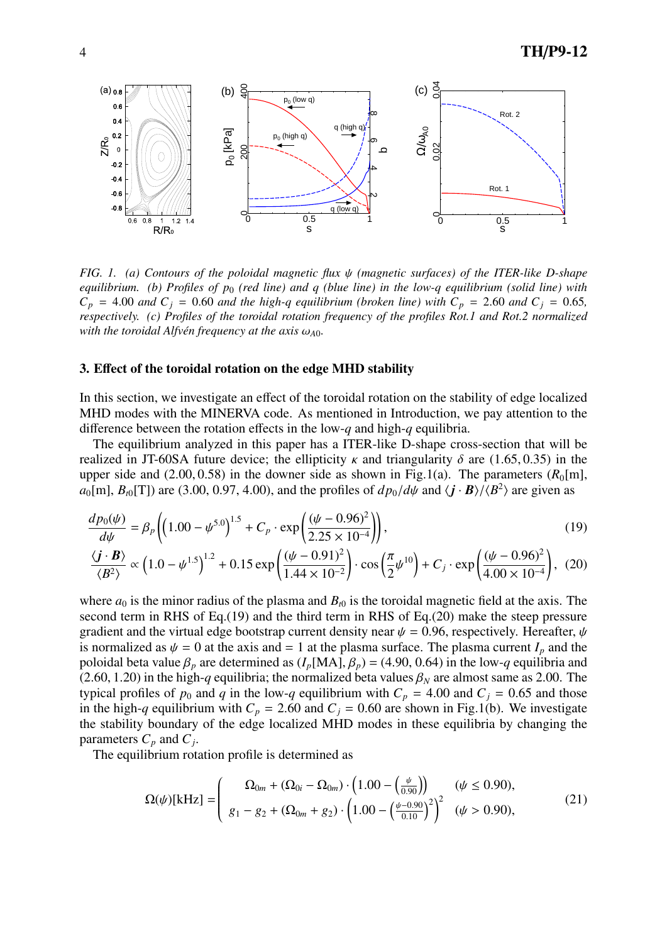

*FIG. 1. (a) Contours of the poloidal magnetic flux* ψ *(magnetic surfaces) of the ITER-like D-shape equilibrium.* (b) Profiles of  $p_0$  (red line) and q (blue line) in the low-q equilibrium (solid line) with  $C_p = 4.00$  *and*  $C_i = 0.60$  *and the high-q equilibrium (broken line) with*  $C_p = 2.60$  *and*  $C_i = 0.65$ *, respectively. (c) Profiles of the toroidal rotation frequency of the profiles Rot.1 and Rot.2 normalized with the toroidal Alfvén frequency at the axis*  $\omega_{A0}$ *.* 

### 3. Effect of the toroidal rotation on the edge MHD stability

In this section, we investigate an effect of the toroidal rotation on the stability of edge localized MHD modes with the MINERVA code. As mentioned in Introduction, we pay attention to the difference between the rotation effects in the low-*q* and high-*q* equilibria.

The equilibrium analyzed in this paper has a ITER-like D-shape cross-section that will be realized in JT-60SA future device; the ellipticity  $\kappa$  and triangularity  $\delta$  are (1.65, 0.35) in the upper side and (2.00, 0.58) in the downer side as shown in Fig.1(a). The parameters  $(R_0[m],$  $a_0[m]$ ,  $B_{t0}[T]$  are (3.00, 0.97, 4.00), and the profiles of  $dp_0/d\psi$  and  $\langle \mathbf{j} \cdot \mathbf{B} \rangle / \langle B^2 \rangle$  are given as

$$
\frac{dp_0(\psi)}{d\psi} = \beta_p \left( \left( 1.00 - \psi^{5.0} \right)^{1.5} + C_p \cdot \exp\left( \frac{(\psi - 0.96)^2}{2.25 \times 10^{-4}} \right) \right),\tag{19}
$$

$$
\frac{\langle \mathbf{j} \cdot \mathbf{B} \rangle}{\langle B^2 \rangle} \propto \left( 1.0 - \psi^{1.5} \right)^{1.2} + 0.15 \exp\left( \frac{(\psi - 0.91)^2}{1.44 \times 10^{-2}} \right) \cdot \cos\left( \frac{\pi}{2} \psi^{10} \right) + C_j \cdot \exp\left( \frac{(\psi - 0.96)^2}{4.00 \times 10^{-4}} \right), \tag{20}
$$

where  $a_0$  is the minor radius of the plasma and  $B_{t0}$  is the toroidal magnetic field at the axis. The second term in RHS of Eq.(19) and the third term in RHS of Eq.(20) make the steep pressure gradient and the virtual edge bootstrap current density near  $\psi = 0.96$ , respectively. Hereafter,  $\psi$ is normalized as  $\psi = 0$  at the axis and = 1 at the plasma surface. The plasma current  $I_p$  and the poloidal beta value  $\beta_p$  are determined as  $(I_p[MA], \beta_p) = (4.90, 0.64)$  in the low-*q* equilibria and (2.60, 1.20) in the high-*q* equilibria; the normalized beta values  $\beta_N$  are almost same as 2.00. The typical profiles of  $p_0$  and  $q$  in the low- $q$  equilibrium with  $C_p = 4.00$  and  $C_j = 0.65$  and those in the high-*q* equilibrium with  $C_p = 2.60$  and  $C_j = 0.60$  are shown in Fig.1(b). We investigate the stability boundary of the edge localized MHD modes in these equilibria by changing the parameters  $C_p$  and  $C_j$ .

The equilibrium rotation profile is determined as

$$
\Omega(\psi)[\text{kHz}] = \begin{pmatrix} \Omega_{0m} + (\Omega_{0i} - \Omega_{0m}) \cdot (1.00 - \left(\frac{\psi}{0.90}\right)) & (\psi \le 0.90), \\ g_1 - g_2 + (\Omega_{0m} + g_2) \cdot (1.00 - \left(\frac{\psi - 0.90}{0.10}\right)^2)^2 & (\psi > 0.90), \end{pmatrix}
$$
(21)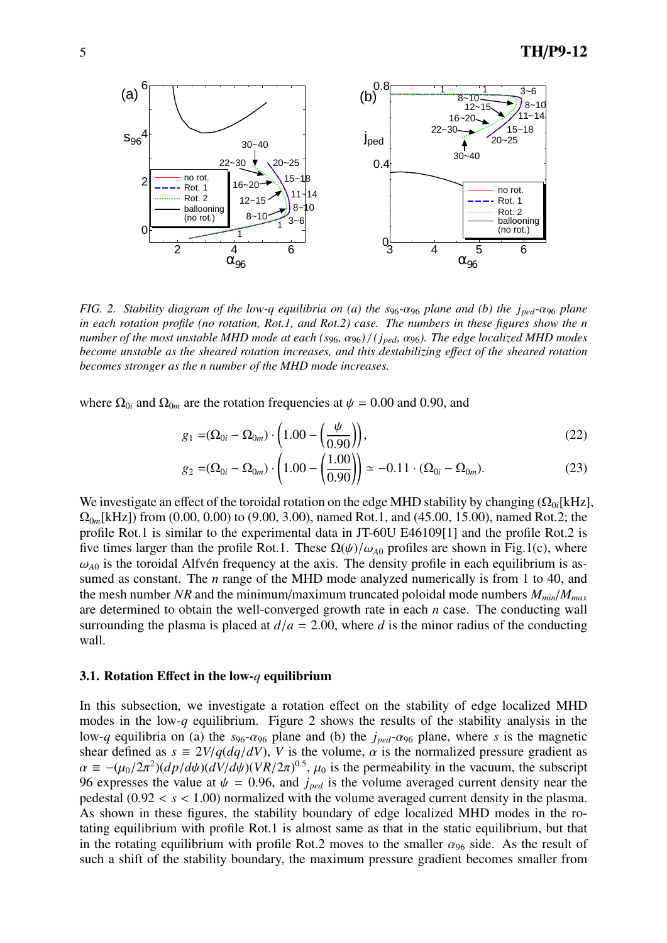

*FIG. 2. Stability diagram of the low-q equilibria on (a) the s*96*-*α<sup>96</sup> *plane and (b) the jped-*α<sup>96</sup> *plane in each rotation profile (no rotation, Rot.1, and Rot.2) case. The numbers in these figures show the n number of the most unstable MHD mode at each (s*96*,* α96*)* / *( jped,* α96*). The edge localized MHD modes become unstable as the sheared rotation increases, and this destabilizing e*ff*ect of the sheared rotation becomes stronger as the n number of the MHD mode increases.*

where  $\Omega_{0i}$  and  $\Omega_{0m}$  are the rotation frequencies at  $\psi = 0.00$  and 0.90, and

$$
g_1 = (\Omega_{0i} - \Omega_{0m}) \cdot \left(1.00 - \left(\frac{\psi}{0.90}\right)\right),\tag{22}
$$

$$
g_2 = (\Omega_{0i} - \Omega_{0m}) \cdot \left(1.00 - \left(\frac{1.00}{0.90}\right)\right) \approx -0.11 \cdot (\Omega_{0i} - \Omega_{0m}).
$$
 (23)

We investigate an effect of the toroidal rotation on the edge MHD stability by changing  $(\Omega_{0i}[\text{kHz}],$ Ω0*<sup>m</sup>*[kHz]) from (0.00, 0.00) to (9.00, 3.00), named Rot.1, and (45.00, 15.00), named Rot.2; the profile Rot.1 is similar to the experimental data in JT-60U E46109[1] and the profile Rot.2 is five times larger than the profile Rot.1. These  $\Omega(\psi)/\omega_{A0}$  profiles are shown in Fig.1(c), where  $\omega_{A0}$  is the toroidal Alfvén frequency at the axis. The density profile in each equilibrium is assumed as constant. The *n* range of the MHD mode analyzed numerically is from 1 to 40, and the mesh number *NR* and the minimum/maximum truncated poloidal mode numbers *Mmin*/*Mmax* are determined to obtain the well-converged growth rate in each *n* case. The conducting wall surrounding the plasma is placed at  $d/a = 2.00$ , where *d* is the minor radius of the conducting wall.

#### 3.1. Rotation Effect in the low-*q* equilibrium

In this subsection, we investigate a rotation effect on the stability of edge localized MHD modes in the low-*q* equilibrium. Figure 2 shows the results of the stability analysis in the low-*q* equilibria on (a) the  $s_{96}$ - $\alpha_{96}$  plane and (b) the  $j_{ped}$ - $\alpha_{96}$  plane, where *s* is the magnetic shear defined as  $s = 2V/q(dq/dV)$ , *V* is the volume,  $\alpha$  is the normalized pressure gradient as  $\alpha \equiv -(\mu_0/2\pi^2)(dp/d\psi)(dV/d\psi)(VR/2\pi)^{0.5}$ ,  $\mu_0$  is the permeability in the vacuum, the subscript 96 expresses the value at  $\psi = 0.96$ , and  $j_{\text{ped}}$  is the volume averaged current density near the pedestal (0.92 < *s* < 1.00) normalized with the volume averaged current density in the plasma. As shown in these figures, the stability boundary of edge localized MHD modes in the rotating equilibrium with profile Rot.1 is almost same as that in the static equilibrium, but that in the rotating equilibrium with profile Rot.2 moves to the smaller  $\alpha_{96}$  side. As the result of such a shift of the stability boundary, the maximum pressure gradient becomes smaller from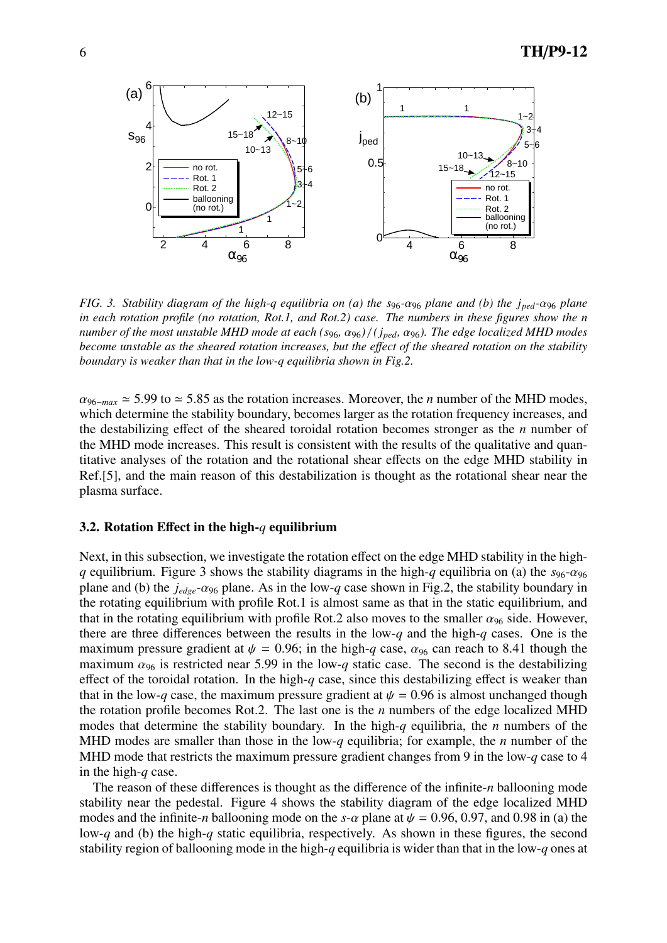

*FIG. 3. Stability diagram of the high-q equilibria on (a) the s*96*-*α<sup>96</sup> *plane and (b) the jped-*α<sup>96</sup> *plane in each rotation profile (no rotation, Rot.1, and Rot.2) case. The numbers in these figures show the n number of the most unstable MHD mode at each (s*96*,* α96*)* / *( jped,* α96*). The edge localized MHD modes become unstable as the sheared rotation increases, but the e*ff*ect of the sheared rotation on the stability boundary is weaker than that in the low-q equilibria shown in Fig.2.*

 $\alpha_{96-max} \approx 5.99$  to  $\approx 5.85$  as the rotation increases. Moreover, the *n* number of the MHD modes, which determine the stability boundary, becomes larger as the rotation frequency increases, and the destabilizing effect of the sheared toroidal rotation becomes stronger as the *n* number of the MHD mode increases. This result is consistent with the results of the qualitative and quantitative analyses of the rotation and the rotational shear effects on the edge MHD stability in Ref.[5], and the main reason of this destabilization is thought as the rotational shear near the plasma surface.

### 3.2. Rotation Effect in the high-*q* equilibrium

Next, in this subsection, we investigate the rotation effect on the edge MHD stability in the high*q* equilibrium. Figure 3 shows the stability diagrams in the high-*q* equilibria on (a) the  $s_{96}$ - $\alpha_{96}$ plane and (b) the  $j_{edge}$ - $\alpha_{96}$  plane. As in the low-*q* case shown in Fig.2, the stability boundary in the rotating equilibrium with profile Rot.1 is almost same as that in the static equilibrium, and that in the rotating equilibrium with profile Rot.2 also moves to the smaller  $\alpha_{96}$  side. However, there are three differences between the results in the low-*q* and the high-*q* cases. One is the maximum pressure gradient at  $\psi = 0.96$ ; in the high-*q* case,  $\alpha_{96}$  can reach to 8.41 though the maximum  $\alpha_{96}$  is restricted near 5.99 in the low-*q* static case. The second is the destabilizing effect of the toroidal rotation. In the high-*q* case, since this destabilizing effect is weaker than that in the low-*q* case, the maximum pressure gradient at  $\psi = 0.96$  is almost unchanged though the rotation profile becomes Rot.2. The last one is the *n* numbers of the edge localized MHD modes that determine the stability boundary. In the high-*q* equilibria, the *n* numbers of the MHD modes are smaller than those in the low-*q* equilibria; for example, the *n* number of the MHD mode that restricts the maximum pressure gradient changes from 9 in the low-*q* case to 4 in the high-*q* case.

The reason of these differences is thought as the difference of the infinite-*n* ballooning mode stability near the pedestal. Figure 4 shows the stability diagram of the edge localized MHD modes and the infinite-*n* ballooning mode on the *s*-*α* plane at  $\psi$  = 0.96, 0.97, and 0.98 in (a) the low-*q* and (b) the high-*q* static equilibria, respectively. As shown in these figures, the second stability region of ballooning mode in the high-*q* equilibria is wider than that in the low-*q* ones at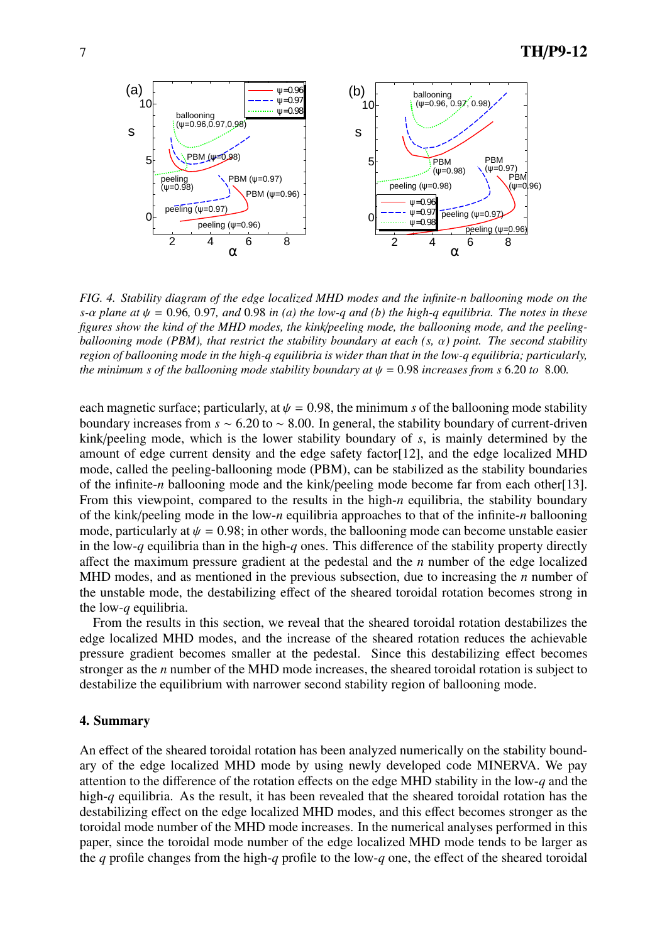

*FIG. 4. Stability diagram of the edge localized MHD modes and the infinite-n ballooning mode on the s-*α *plane at* ψ = 0.96*,* 0.97*, and* 0.98 *in (a) the low-q and (b) the high-q equilibria. The notes in these figures show the kind of the MHD modes, the kink*/*peeling mode, the ballooning mode, and the peelingballooning mode (PBM), that restrict the stability boundary at each (s,* α*) point. The second stability region of ballooning mode in the high-q equilibria is wider than that in the low-q equilibria; particularly, the minimum s of the ballooning mode stability boundary at*  $\psi = 0.98$  *increases from s* 6.20 *to* 8.00*.* 

each magnetic surface; particularly, at  $\psi = 0.98$ , the minimum *s* of the ballooning mode stability boundary increases from *s* ∼ 6.20 to ∼ 8.00. In general, the stability boundary of current-driven kink/peeling mode, which is the lower stability boundary of *s*, is mainly determined by the amount of edge current density and the edge safety factor[12], and the edge localized MHD mode, called the peeling-ballooning mode (PBM), can be stabilized as the stability boundaries of the infinite-*n* ballooning mode and the kink/peeling mode become far from each other[13]. From this viewpoint, compared to the results in the high-*n* equilibria, the stability boundary of the kink/peeling mode in the low-*n* equilibria approaches to that of the infinite-*n* ballooning mode, particularly at  $\psi = 0.98$ ; in other words, the ballooning mode can become unstable easier in the low-*q* equilibria than in the high-*q* ones. This difference of the stability property directly affect the maximum pressure gradient at the pedestal and the *n* number of the edge localized MHD modes, and as mentioned in the previous subsection, due to increasing the *n* number of the unstable mode, the destabilizing effect of the sheared toroidal rotation becomes strong in the low-*q* equilibria.

From the results in this section, we reveal that the sheared toroidal rotation destabilizes the edge localized MHD modes, and the increase of the sheared rotation reduces the achievable pressure gradient becomes smaller at the pedestal. Since this destabilizing effect becomes stronger as the *n* number of the MHD mode increases, the sheared toroidal rotation is subject to destabilize the equilibrium with narrower second stability region of ballooning mode.

## 4. Summary

An effect of the sheared toroidal rotation has been analyzed numerically on the stability boundary of the edge localized MHD mode by using newly developed code MINERVA. We pay attention to the difference of the rotation effects on the edge MHD stability in the low-*q* and the high-*q* equilibria. As the result, it has been revealed that the sheared toroidal rotation has the destabilizing effect on the edge localized MHD modes, and this effect becomes stronger as the toroidal mode number of the MHD mode increases. In the numerical analyses performed in this paper, since the toroidal mode number of the edge localized MHD mode tends to be larger as the *q* profile changes from the high-*q* profile to the low-*q* one, the effect of the sheared toroidal